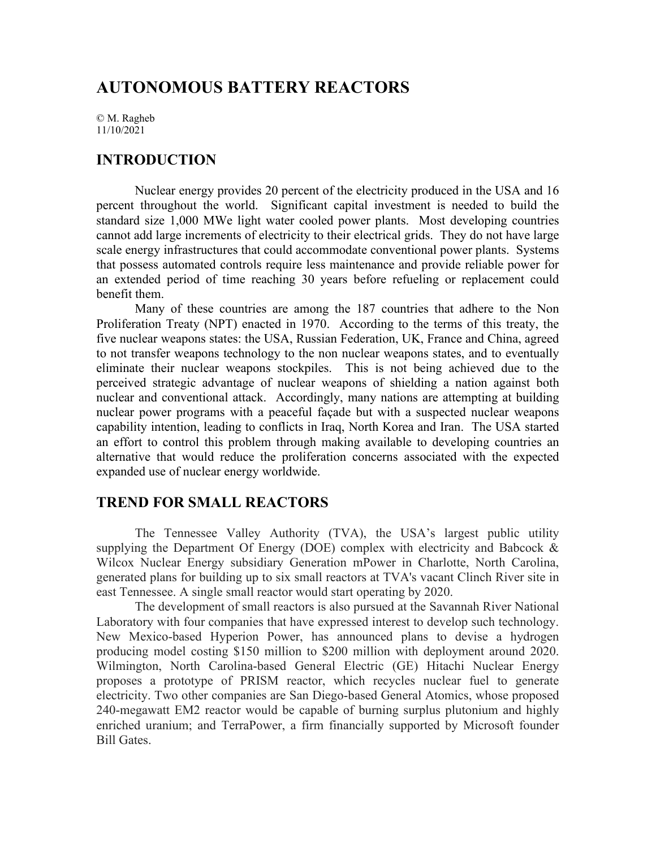# **AUTONOMOUS BATTERY REACTORS**

© M. Ragheb 11/10/2021

# **INTRODUCTION**

Nuclear energy provides 20 percent of the electricity produced in the USA and 16 percent throughout the world. Significant capital investment is needed to build the standard size 1,000 MWe light water cooled power plants. Most developing countries cannot add large increments of electricity to their electrical grids. They do not have large scale energy infrastructures that could accommodate conventional power plants. Systems that possess automated controls require less maintenance and provide reliable power for an extended period of time reaching 30 years before refueling or replacement could benefit them.

Many of these countries are among the 187 countries that adhere to the Non Proliferation Treaty (NPT) enacted in 1970. According to the terms of this treaty, the five nuclear weapons states: the USA, Russian Federation, UK, France and China, agreed to not transfer weapons technology to the non nuclear weapons states, and to eventually eliminate their nuclear weapons stockpiles. This is not being achieved due to the perceived strategic advantage of nuclear weapons of shielding a nation against both nuclear and conventional attack. Accordingly, many nations are attempting at building nuclear power programs with a peaceful façade but with a suspected nuclear weapons capability intention, leading to conflicts in Iraq, North Korea and Iran. The USA started an effort to control this problem through making available to developing countries an alternative that would reduce the proliferation concerns associated with the expected expanded use of nuclear energy worldwide.

# **TREND FOR SMALL REACTORS**

The Tennessee Valley Authority (TVA), the USA's largest public utility supplying the Department Of Energy (DOE) complex with electricity and Babcock & Wilcox Nuclear Energy subsidiary Generation mPower in Charlotte, North Carolina, generated plans for building up to six small reactors at TVA's vacant Clinch River site in east Tennessee. A single small reactor would start operating by 2020.

The development of small reactors is also pursued at the Savannah River National Laboratory with four companies that have expressed interest to develop such technology. New Mexico-based Hyperion Power, has announced plans to devise a hydrogen producing model costing \$150 million to \$200 million with deployment around 2020. Wilmington, North Carolina-based General Electric (GE) Hitachi Nuclear Energy proposes a prototype of PRISM reactor, which recycles nuclear fuel to generate electricity. Two other companies are San Diego-based General Atomics, whose proposed 240-megawatt EM2 reactor would be capable of burning surplus plutonium and highly enriched uranium; and TerraPower, a firm financially supported by Microsoft founder Bill Gates.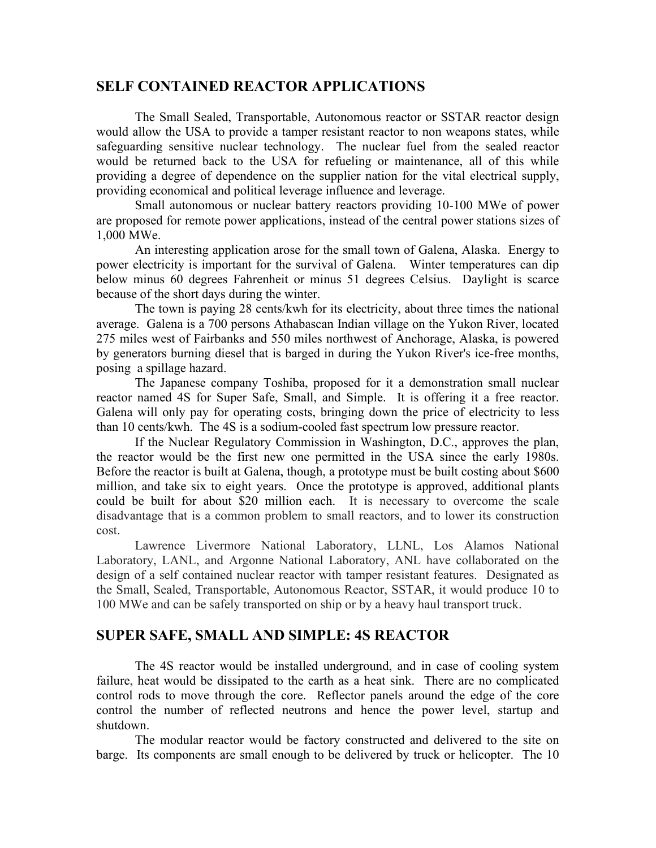### **SELF CONTAINED REACTOR APPLICATIONS**

The Small Sealed, Transportable, Autonomous reactor or SSTAR reactor design would allow the USA to provide a tamper resistant reactor to non weapons states, while safeguarding sensitive nuclear technology. The nuclear fuel from the sealed reactor would be returned back to the USA for refueling or maintenance, all of this while providing a degree of dependence on the supplier nation for the vital electrical supply, providing economical and political leverage influence and leverage.

Small autonomous or nuclear battery reactors providing 10-100 MWe of power are proposed for remote power applications, instead of the central power stations sizes of 1,000 MWe.

An interesting application arose for the small town of Galena, Alaska. Energy to power electricity is important for the survival of Galena. Winter temperatures can dip below minus 60 degrees Fahrenheit or minus 51 degrees Celsius. Daylight is scarce because of the short days during the winter.

The town is paying 28 cents/kwh for its electricity, about three times the national average. Galena is a 700 persons Athabascan Indian village on the Yukon River, located 275 miles west of Fairbanks and 550 miles northwest of Anchorage, Alaska, is powered by generators burning diesel that is barged in during the Yukon River's ice-free months, posing a spillage hazard.

The Japanese company Toshiba, proposed for it a demonstration small nuclear reactor named 4S for Super Safe, Small, and Simple. It is offering it a free reactor. Galena will only pay for operating costs, bringing down the price of electricity to less than 10 cents/kwh. The 4S is a sodium-cooled fast spectrum low pressure reactor.

If the Nuclear Regulatory Commission in Washington, D.C., approves the plan, the reactor would be the first new one permitted in the USA since the early 1980s. Before the reactor is built at Galena, though, a prototype must be built costing about \$600 million, and take six to eight years. Once the prototype is approved, additional plants could be built for about \$20 million each. It is necessary to overcome the scale disadvantage that is a common problem to small reactors, and to lower its construction cost.

Lawrence Livermore National Laboratory, LLNL, Los Alamos National Laboratory, LANL, and Argonne National Laboratory, ANL have collaborated on the design of a self contained nuclear reactor with tamper resistant features. Designated as the Small, Sealed, Transportable, Autonomous Reactor, SSTAR, it would produce 10 to 100 MWe and can be safely transported on ship or by a heavy haul transport truck.

# **SUPER SAFE, SMALL AND SIMPLE: 4S REACTOR**

The 4S reactor would be installed underground, and in case of cooling system failure, heat would be dissipated to the earth as a heat sink. There are no complicated control rods to move through the core. Reflector panels around the edge of the core control the number of reflected neutrons and hence the power level, startup and shutdown.

The modular reactor would be factory constructed and delivered to the site on barge. Its components are small enough to be delivered by truck or helicopter. The 10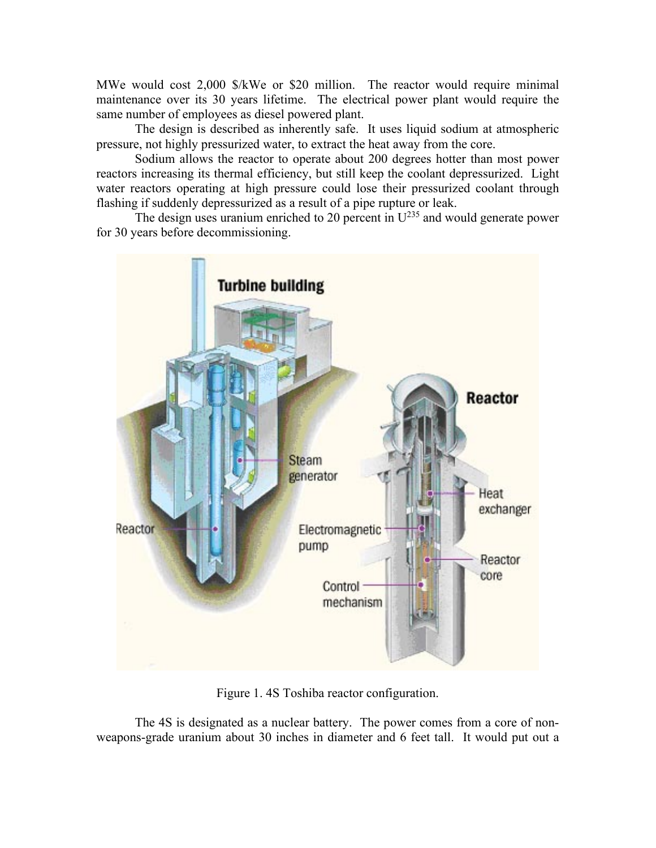MWe would cost 2,000 \$/kWe or \$20 million. The reactor would require minimal maintenance over its 30 years lifetime. The electrical power plant would require the same number of employees as diesel powered plant.

The design is described as inherently safe. It uses liquid sodium at atmospheric pressure, not highly pressurized water, to extract the heat away from the core.

Sodium allows the reactor to operate about 200 degrees hotter than most power reactors increasing its thermal efficiency, but still keep the coolant depressurized. Light water reactors operating at high pressure could lose their pressurized coolant through flashing if suddenly depressurized as a result of a pipe rupture or leak.

The design uses uranium enriched to 20 percent in  $U^{235}$  and would generate power for 30 years before decommissioning.



Figure 1. 4S Toshiba reactor configuration.

The 4S is designated as a nuclear battery. The power comes from a core of nonweapons-grade uranium about 30 inches in diameter and 6 feet tall. It would put out a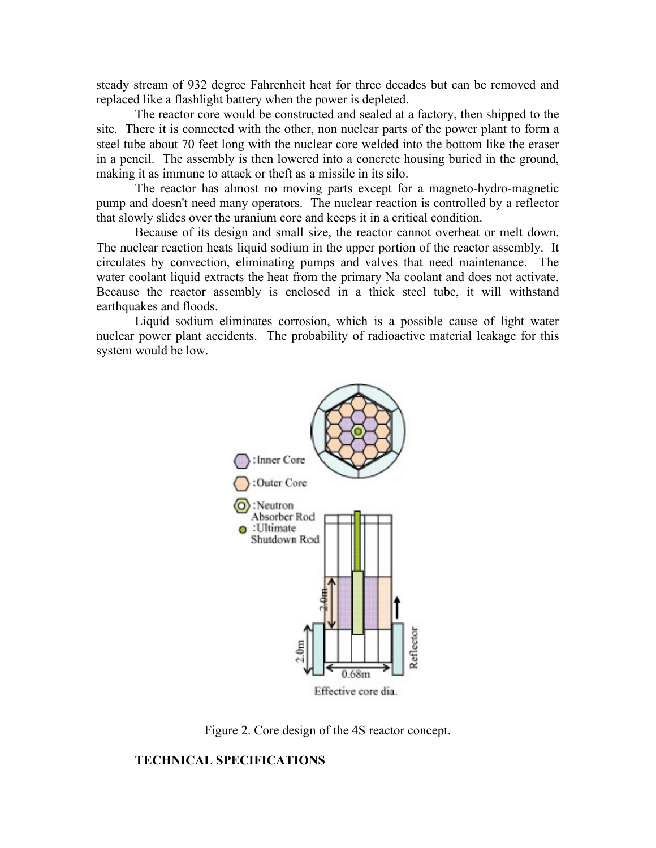steady stream of 932 degree Fahrenheit heat for three decades but can be removed and replaced like a flashlight battery when the power is depleted.

The reactor core would be constructed and sealed at a factory, then shipped to the site. There it is connected with the other, non nuclear parts of the power plant to form a steel tube about 70 feet long with the nuclear core welded into the bottom like the eraser in a pencil. The assembly is then lowered into a concrete housing buried in the ground, making it as immune to attack or theft as a missile in its silo.

The reactor has almost no moving parts except for a magneto-hydro-magnetic pump and doesn't need many operators. The nuclear reaction is controlled by a reflector that slowly slides over the uranium core and keeps it in a critical condition.

Because of its design and small size, the reactor cannot overheat or melt down. The nuclear reaction heats liquid sodium in the upper portion of the reactor assembly. It circulates by convection, eliminating pumps and valves that need maintenance. The water coolant liquid extracts the heat from the primary Na coolant and does not activate. Because the reactor assembly is enclosed in a thick steel tube, it will withstand earthquakes and floods.

Liquid sodium eliminates corrosion, which is a possible cause of light water nuclear power plant accidents. The probability of radioactive material leakage for this system would be low.



Figure 2. Core design of the 4S reactor concept.

### **TECHNICAL SPECIFICATIONS**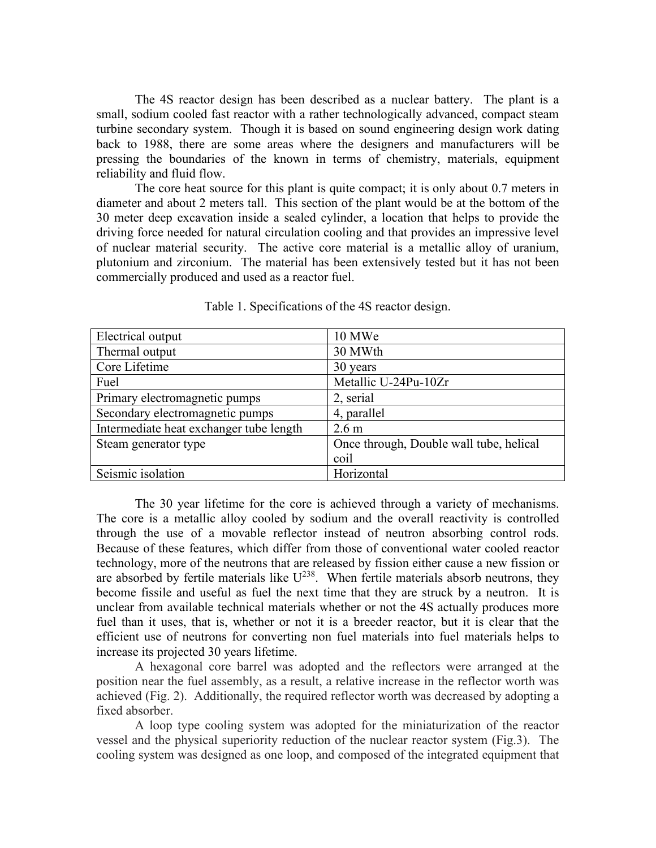The 4S reactor design has been described as a nuclear battery. The plant is a small, sodium cooled fast reactor with a rather technologically advanced, compact steam turbine secondary system. Though it is based on sound engineering design work dating back to 1988, there are some areas where the designers and manufacturers will be pressing the boundaries of the known in terms of chemistry, materials, equipment reliability and fluid flow.

The core heat source for this plant is quite compact; it is only about 0.7 meters in diameter and about 2 meters tall. This section of the plant would be at the bottom of the 30 meter deep excavation inside a sealed cylinder, a location that helps to provide the driving force needed for natural circulation cooling and that provides an impressive level of nuclear material security. The active core material is a metallic alloy of uranium, plutonium and zirconium. The material has been extensively tested but it has not been commercially produced and used as a reactor fuel.

| Electrical output                       | 10 MWe                                  |
|-----------------------------------------|-----------------------------------------|
| Thermal output                          | 30 MWth                                 |
| Core Lifetime                           | 30 years                                |
| Fuel                                    | Metallic U-24Pu-10Zr                    |
| Primary electromagnetic pumps           | 2, serial                               |
| Secondary electromagnetic pumps         | 4, parallel                             |
| Intermediate heat exchanger tube length | 2.6 <sub>m</sub>                        |
| Steam generator type                    | Once through, Double wall tube, helical |
|                                         | coil                                    |
| Seismic isolation                       | Horizontal                              |

Table 1. Specifications of the 4S reactor design.

The 30 year lifetime for the core is achieved through a variety of mechanisms. The core is a metallic alloy cooled by sodium and the overall reactivity is controlled through the use of a movable reflector instead of neutron absorbing control rods. Because of these features, which differ from those of conventional water cooled reactor technology, more of the neutrons that are released by fission either cause a new fission or are absorbed by fertile materials like  $U^{238}$ . When fertile materials absorb neutrons, they become fissile and useful as fuel the next time that they are struck by a neutron. It is unclear from available technical materials whether or not the 4S actually produces more fuel than it uses, that is, whether or not it is a breeder reactor, but it is clear that the efficient use of neutrons for converting non fuel materials into fuel materials helps to increase its projected 30 years lifetime.

A hexagonal core barrel was adopted and the reflectors were arranged at the position near the fuel assembly, as a result, a relative increase in the reflector worth was achieved (Fig. 2). Additionally, the required reflector worth was decreased by adopting a fixed absorber.

A loop type cooling system was adopted for the miniaturization of the reactor vessel and the physical superiority reduction of the nuclear reactor system (Fig.3). The cooling system was designed as one loop, and composed of the integrated equipment that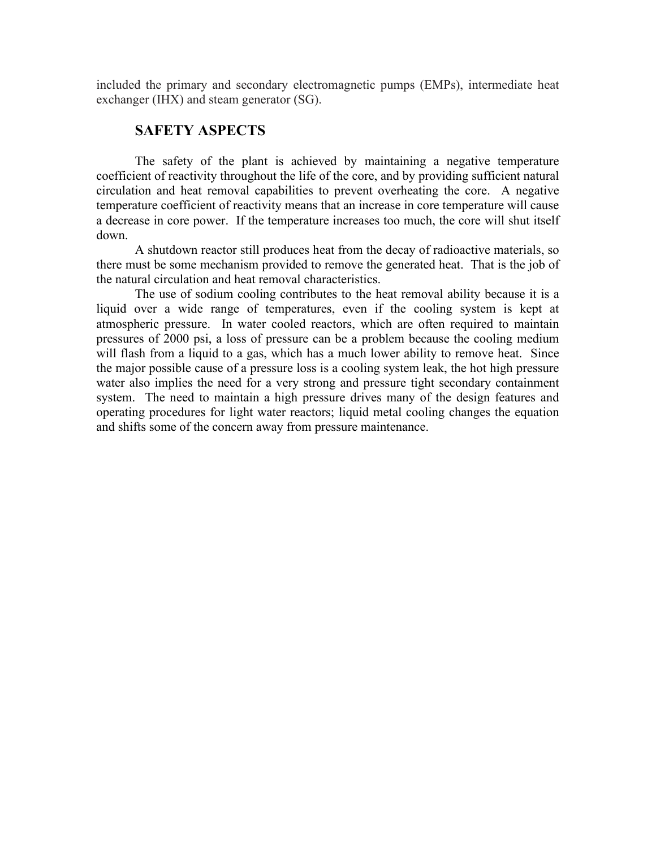included the primary and secondary electromagnetic pumps (EMPs), intermediate heat exchanger (IHX) and steam generator (SG).

## **SAFETY ASPECTS**

The safety of the plant is achieved by maintaining a negative temperature coefficient of reactivity throughout the life of the core, and by providing sufficient natural circulation and heat removal capabilities to prevent overheating the core. A negative temperature coefficient of reactivity means that an increase in core temperature will cause a decrease in core power. If the temperature increases too much, the core will shut itself down.

A shutdown reactor still produces heat from the decay of radioactive materials, so there must be some mechanism provided to remove the generated heat. That is the job of the natural circulation and heat removal characteristics.

The use of sodium cooling contributes to the heat removal ability because it is a liquid over a wide range of temperatures, even if the cooling system is kept at atmospheric pressure. In water cooled reactors, which are often required to maintain pressures of 2000 psi, a loss of pressure can be a problem because the cooling medium will flash from a liquid to a gas, which has a much lower ability to remove heat. Since the major possible cause of a pressure loss is a cooling system leak, the hot high pressure water also implies the need for a very strong and pressure tight secondary containment system. The need to maintain a high pressure drives many of the design features and operating procedures for light water reactors; liquid metal cooling changes the equation and shifts some of the concern away from pressure maintenance.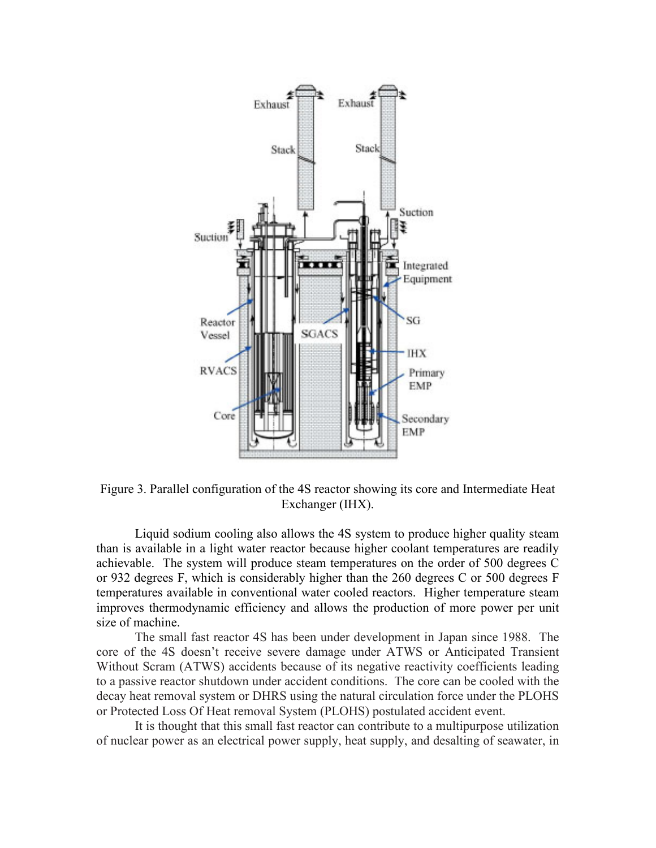

Figure 3. Parallel configuration of the 4S reactor showing its core and Intermediate Heat Exchanger (IHX).

Liquid sodium cooling also allows the 4S system to produce higher quality steam than is available in a light water reactor because higher coolant temperatures are readily achievable. The system will produce steam temperatures on the order of 500 degrees C or 932 degrees F, which is considerably higher than the 260 degrees C or 500 degrees F temperatures available in conventional water cooled reactors. Higher temperature steam improves thermodynamic efficiency and allows the production of more power per unit size of machine.

The small fast reactor 4S has been under development in Japan since 1988. The core of the 4S doesn't receive severe damage under ATWS or Anticipated Transient Without Scram (ATWS) accidents because of its negative reactivity coefficients leading to a passive reactor shutdown under accident conditions. The core can be cooled with the decay heat removal system or DHRS using the natural circulation force under the PLOHS or Protected Loss Of Heat removal System (PLOHS) postulated accident event.

It is thought that this small fast reactor can contribute to a multipurpose utilization of nuclear power as an electrical power supply, heat supply, and desalting of seawater, in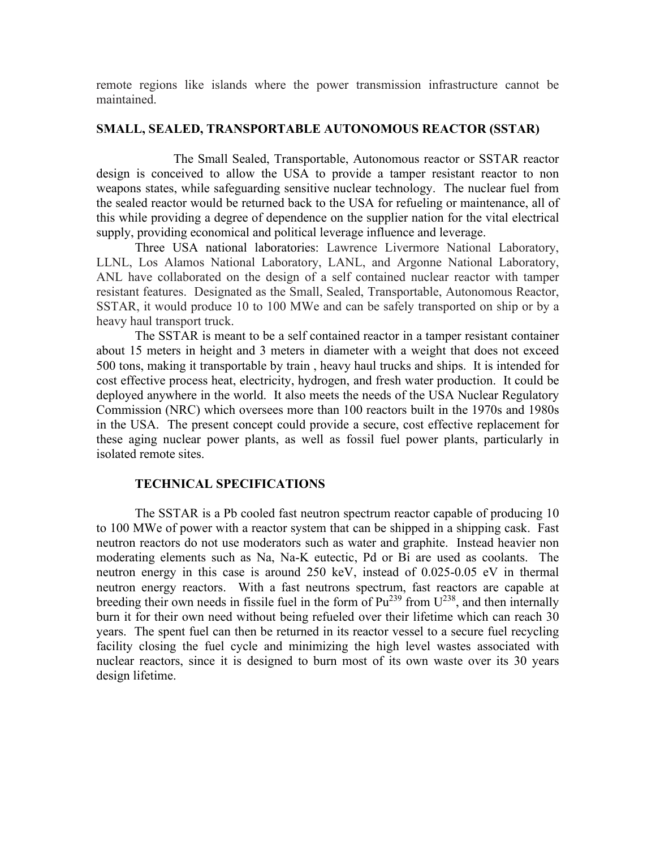remote regions like islands where the power transmission infrastructure cannot be maintained.

#### **SMALL, SEALED, TRANSPORTABLE AUTONOMOUS REACTOR (SSTAR)**

The Small Sealed, Transportable, Autonomous reactor or SSTAR reactor design is conceived to allow the USA to provide a tamper resistant reactor to non weapons states, while safeguarding sensitive nuclear technology. The nuclear fuel from the sealed reactor would be returned back to the USA for refueling or maintenance, all of this while providing a degree of dependence on the supplier nation for the vital electrical supply, providing economical and political leverage influence and leverage.

Three USA national laboratories: Lawrence Livermore National Laboratory, LLNL, Los Alamos National Laboratory, LANL, and Argonne National Laboratory, ANL have collaborated on the design of a self contained nuclear reactor with tamper resistant features. Designated as the Small, Sealed, Transportable, Autonomous Reactor, SSTAR, it would produce 10 to 100 MWe and can be safely transported on ship or by a heavy haul transport truck.

The SSTAR is meant to be a self contained reactor in a tamper resistant container about 15 meters in height and 3 meters in diameter with a weight that does not exceed 500 tons, making it transportable by train , heavy haul trucks and ships. It is intended for cost effective process heat, electricity, hydrogen, and fresh water production. It could be deployed anywhere in the world. It also meets the needs of the USA Nuclear Regulatory Commission (NRC) which oversees more than 100 reactors built in the 1970s and 1980s in the USA. The present concept could provide a secure, cost effective replacement for these aging nuclear power plants, as well as fossil fuel power plants, particularly in isolated remote sites.

#### **TECHNICAL SPECIFICATIONS**

The SSTAR is a Pb cooled fast neutron spectrum reactor capable of producing 10 to 100 MWe of power with a reactor system that can be shipped in a shipping cask. Fast neutron reactors do not use moderators such as water and graphite. Instead heavier non moderating elements such as Na, Na-K eutectic, Pd or Bi are used as coolants. The neutron energy in this case is around 250 keV, instead of 0.025-0.05 eV in thermal neutron energy reactors. With a fast neutrons spectrum, fast reactors are capable at breeding their own needs in fissile fuel in the form of  $Pu^{239}$  from  $U^{238}$ , and then internally burn it for their own need without being refueled over their lifetime which can reach 30 years. The spent fuel can then be returned in its reactor vessel to a secure fuel recycling facility closing the fuel cycle and minimizing the high level wastes associated with nuclear reactors, since it is designed to burn most of its own waste over its 30 years design lifetime.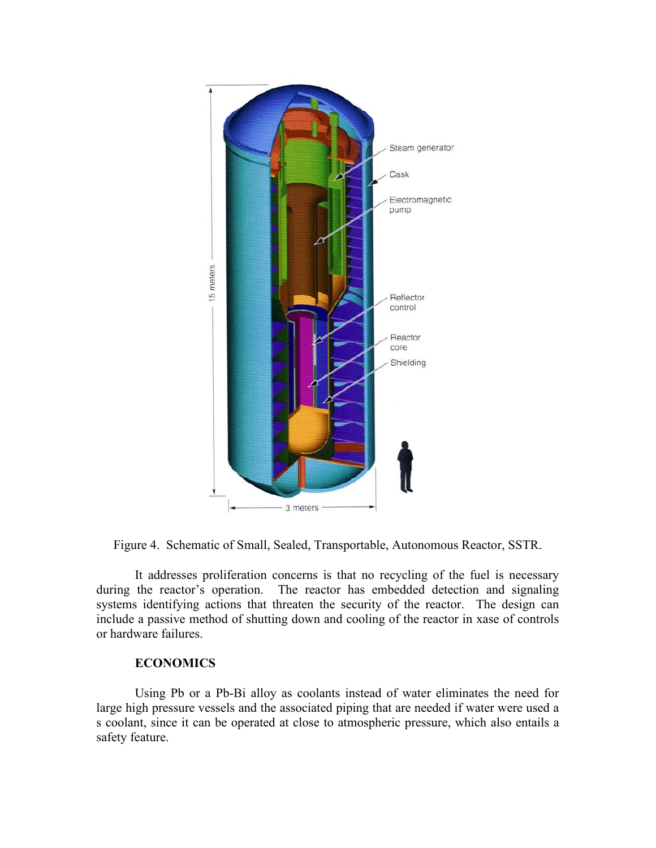

Figure 4. Schematic of Small, Sealed, Transportable, Autonomous Reactor, SSTR.

It addresses proliferation concerns is that no recycling of the fuel is necessary during the reactor's operation. The reactor has embedded detection and signaling systems identifying actions that threaten the security of the reactor. The design can include a passive method of shutting down and cooling of the reactor in xase of controls or hardware failures.

### **ECONOMICS**

Using Pb or a Pb-Bi alloy as coolants instead of water eliminates the need for large high pressure vessels and the associated piping that are needed if water were used a s coolant, since it can be operated at close to atmospheric pressure, which also entails a safety feature.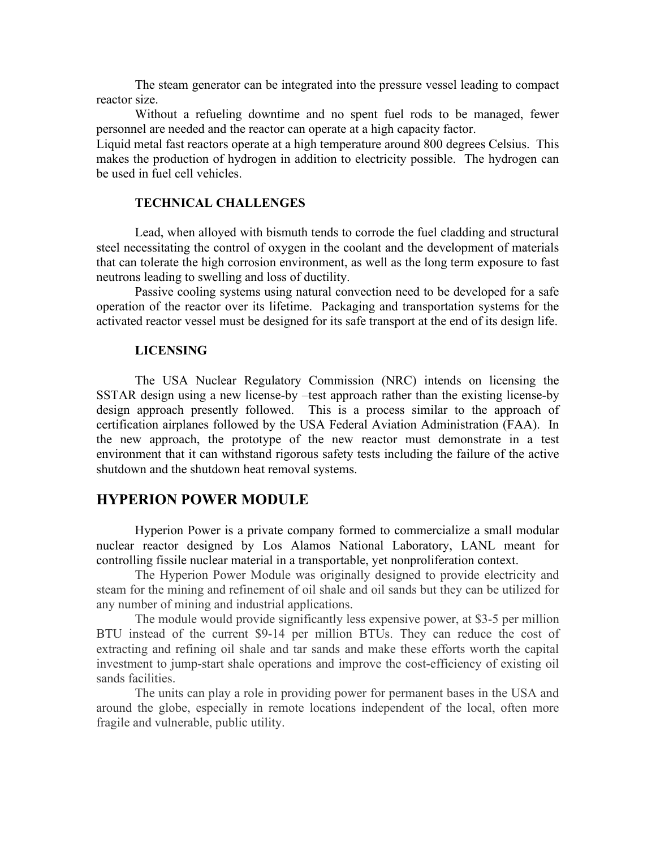The steam generator can be integrated into the pressure vessel leading to compact reactor size.

Without a refueling downtime and no spent fuel rods to be managed, fewer personnel are needed and the reactor can operate at a high capacity factor.

Liquid metal fast reactors operate at a high temperature around 800 degrees Celsius. This makes the production of hydrogen in addition to electricity possible. The hydrogen can be used in fuel cell vehicles.

#### **TECHNICAL CHALLENGES**

Lead, when alloyed with bismuth tends to corrode the fuel cladding and structural steel necessitating the control of oxygen in the coolant and the development of materials that can tolerate the high corrosion environment, as well as the long term exposure to fast neutrons leading to swelling and loss of ductility.

Passive cooling systems using natural convection need to be developed for a safe operation of the reactor over its lifetime. Packaging and transportation systems for the activated reactor vessel must be designed for its safe transport at the end of its design life.

#### **LICENSING**

The USA Nuclear Regulatory Commission (NRC) intends on licensing the SSTAR design using a new license-by –test approach rather than the existing license-by design approach presently followed. This is a process similar to the approach of certification airplanes followed by the USA Federal Aviation Administration (FAA). In the new approach, the prototype of the new reactor must demonstrate in a test environment that it can withstand rigorous safety tests including the failure of the active shutdown and the shutdown heat removal systems.

# **HYPERION POWER MODULE**

Hyperion Power is a private company formed to commercialize a small modular nuclear reactor designed by Los Alamos National Laboratory, LANL meant for controlling fissile nuclear material in a transportable, yet nonproliferation context.

The Hyperion Power Module was originally designed to provide electricity and steam for the mining and refinement of oil shale and oil sands but they can be utilized for any number of mining and industrial applications.

The module would provide significantly less expensive power, at \$3-5 per million BTU instead of the current \$9-14 per million BTUs. They can reduce the cost of extracting and refining oil shale and tar sands and make these efforts worth the capital investment to jump-start shale operations and improve the cost-efficiency of existing oil sands facilities.

The units can play a role in providing power for permanent bases in the USA and around the globe, especially in remote locations independent of the local, often more fragile and vulnerable, public utility.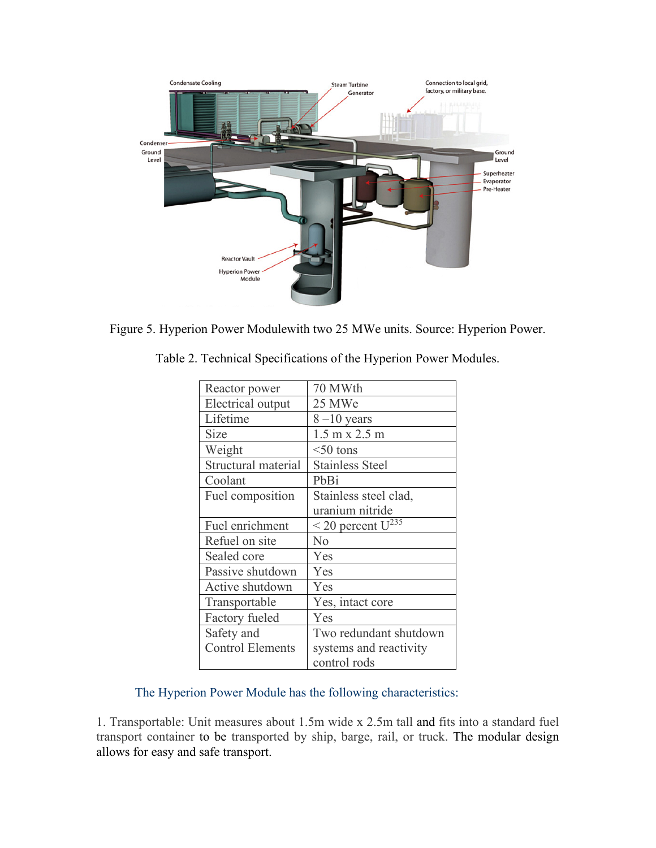

Figure 5. Hyperion Power Modulewith two 25 MWe units. Source: Hyperion Power.

| Reactor power           | 70 MWth                              |
|-------------------------|--------------------------------------|
| Electrical output       | 25 MWe                               |
| Lifetime                | $8-10$ years                         |
| Size                    | $1.5 \text{ m} \times 2.5 \text{ m}$ |
| Weight                  | $<$ 50 tons                          |
| Structural material     | <b>Stainless Steel</b>               |
| Coolant                 | PbBi                                 |
| Fuel composition        | Stainless steel clad,                |
|                         | uranium nitride                      |
| Fuel enrichment         | $<$ 20 percent $U^{235}$             |
| Refuel on site          | No                                   |
| Sealed core             | Yes                                  |
| Passive shutdown        | Yes                                  |
| Active shutdown         | Yes                                  |
| Transportable           | Yes, intact core                     |
| Factory fueled          | Yes                                  |
| Safety and              | Two redundant shutdown               |
| <b>Control Elements</b> | systems and reactivity               |
|                         | control rods                         |

Table 2. Technical Specifications of the Hyperion Power Modules.

# The Hyperion Power Module has the following characteristics:

1. Transportable: Unit measures about 1.5m wide x 2.5m tall and fits into a standard fuel transport container to be transported by ship, barge, rail, or truck. The modular design allows for easy and safe transport.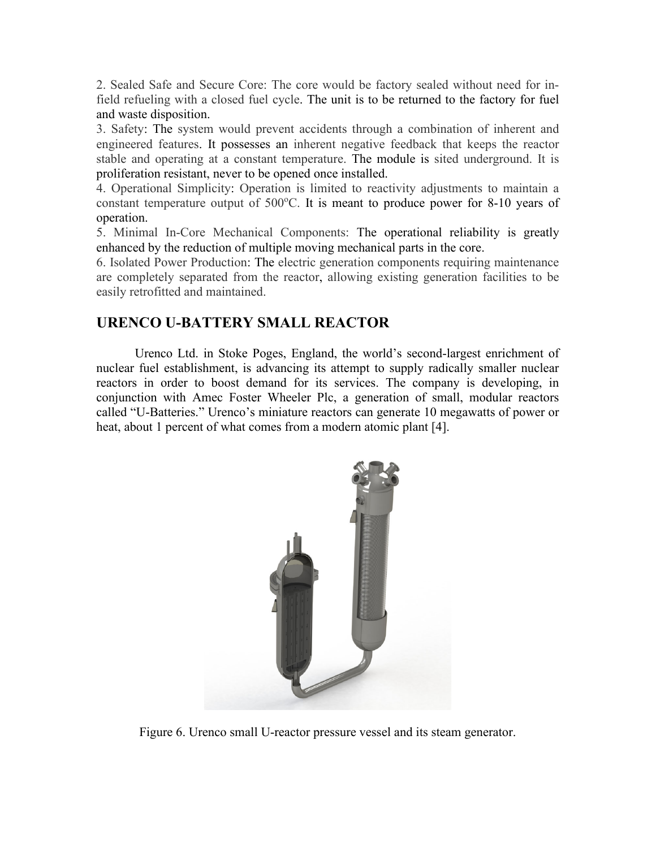2. Sealed Safe and Secure Core: The core would be factory sealed without need for infield refueling with a closed fuel cycle. The unit is to be returned to the factory for fuel and waste disposition.

3. Safety: The system would prevent accidents through a combination of inherent and engineered features. It possesses an inherent negative feedback that keeps the reactor stable and operating at a constant temperature. The module is sited underground. It is proliferation resistant, never to be opened once installed.

4. Operational Simplicity: Operation is limited to reactivity adjustments to maintain a constant temperature output of  $500^{\circ}$ C. It is meant to produce power for 8-10 years of operation.

5. Minimal In-Core Mechanical Components: The operational reliability is greatly enhanced by the reduction of multiple moving mechanical parts in the core.

6. Isolated Power Production: The electric generation components requiring maintenance are completely separated from the reactor, allowing existing generation facilities to be easily retrofitted and maintained.

# **URENCO U-BATTERY SMALL REACTOR**

Urenco Ltd. in Stoke Poges, England, the world's second-largest enrichment of nuclear fuel establishment, is advancing its attempt to supply radically smaller nuclear reactors in order to boost demand for its services. The company is developing, in conjunction with Amec Foster Wheeler Plc, a generation of small, modular reactors called "U-Batteries." Urenco's miniature reactors can generate 10 megawatts of power or heat, about 1 percent of what comes from a modern atomic plant [4].



Figure 6. Urenco small U-reactor pressure vessel and its steam generator.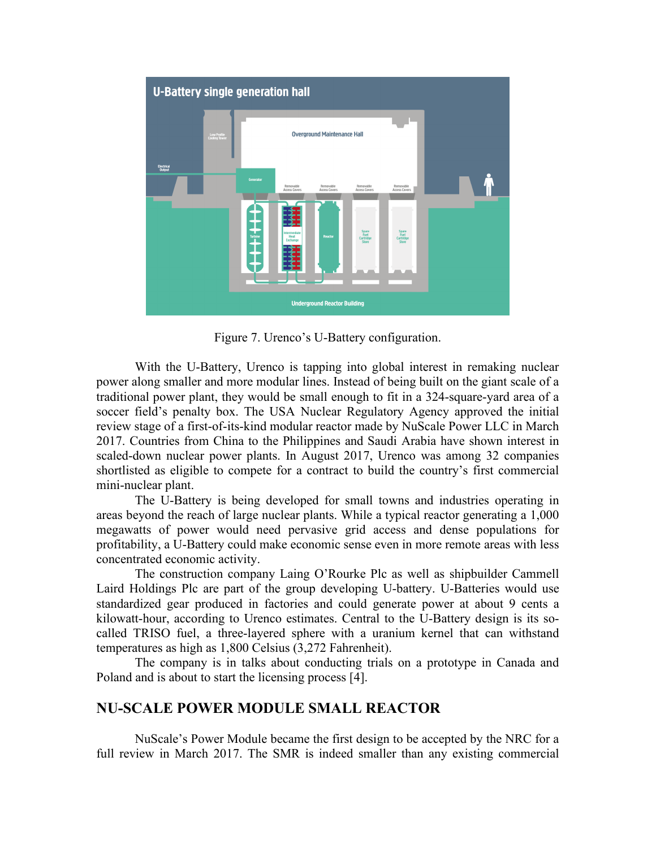

Figure 7. Urenco's U-Battery configuration.

With the U-Battery, Urenco is tapping into global interest in remaking nuclear power along smaller and more modular lines. Instead of being built on the giant scale of a traditional power plant, they would be small enough to fit in a 324-square-yard area of a soccer field's penalty box. The USA Nuclear Regulatory Agency approved the initial review stage of a first-of-its-kind modular reactor made by NuScale Power LLC in March 2017. Countries from China to the Philippines and Saudi Arabia have shown interest in scaled-down nuclear power plants. In August 2017, Urenco was among 32 companies shortlisted as eligible to compete for a contract to build the country's first commercial mini-nuclear plant.

The U-Battery is being developed for small towns and industries operating in areas beyond the reach of large nuclear plants. While a typical reactor generating a 1,000 megawatts of power would need pervasive grid access and dense populations for profitability, a U-Battery could make economic sense even in more remote areas with less concentrated economic activity.

The construction company Laing O'Rourke Plc as well as shipbuilder Cammell Laird Holdings Plc are part of the group developing U-battery. U-Batteries would use standardized gear produced in factories and could generate power at about 9 cents a kilowatt-hour, according to Urenco estimates. Central to the U-Battery design is its socalled TRISO fuel, a three-layered sphere with a uranium kernel that can withstand temperatures as high as 1,800 Celsius (3,272 Fahrenheit).

The company is in talks about conducting trials on a prototype in Canada and Poland and is about to start the licensing process [4].

# **NU-SCALE POWER MODULE SMALL REACTOR**

NuScale's Power Module became the first design to be accepted by the NRC for a full review in March 2017. The SMR is indeed smaller than any existing commercial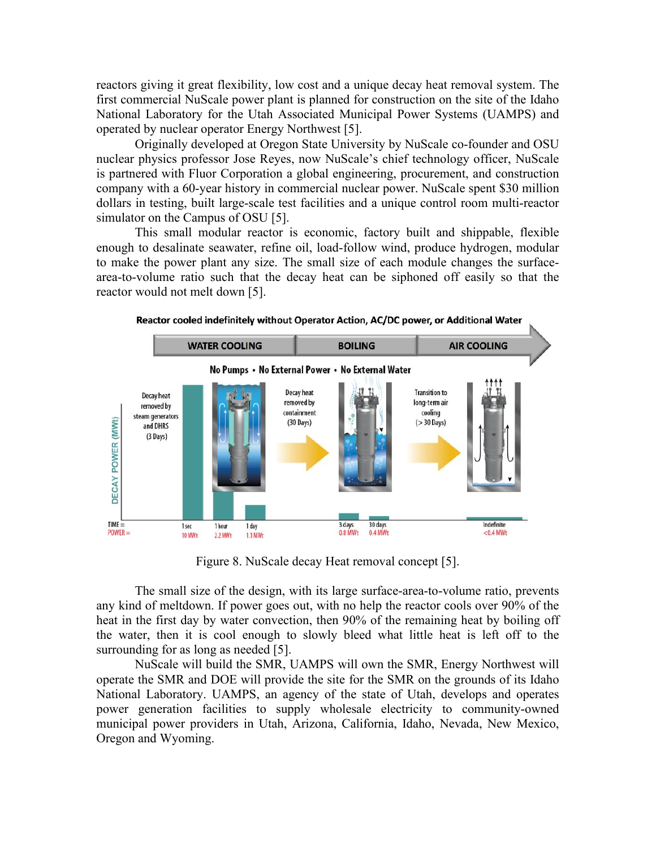reactors giving it great flexibility, low cost and a unique decay heat removal system. The first commercial NuScale power plant is planned for construction on the site of the Idaho National Laboratory for the Utah Associated Municipal Power Systems (UAMPS) and operated by nuclear operator Energy Northwest [5].

Originally developed at Oregon State University by NuScale co-founder and OSU nuclear physics professor Jose Reyes, now NuScale's chief technology officer, NuScale is partnered with Fluor Corporation a global engineering, procurement, and construction company with a 60-year history in commercial nuclear power. NuScale spent \$30 million dollars in testing, built large-scale test facilities and a unique control room multi-reactor simulator on the Campus of OSU [5].

This small modular reactor is economic, factory built and shippable, flexible enough to desalinate seawater, refine oil, load-follow wind, produce hydrogen, modular to make the power plant any size. The small size of each module changes the surfacearea-to-volume ratio such that the decay heat can be siphoned off easily so that the reactor would not melt down [5].



Figure 8. NuScale decay Heat removal concept [5].

The small size of the design, with its large surface-area-to-volume ratio, prevents any kind of meltdown. If power goes out, with no help the reactor cools over 90% of the heat in the first day by water convection, then 90% of the remaining heat by boiling off the water, then it is cool enough to slowly bleed what little heat is left off to the surrounding for as long as needed [5].

NuScale will build the SMR, UAMPS will own the SMR, Energy Northwest will operate the SMR and DOE will provide the site for the SMR on the grounds of its Idaho National Laboratory. UAMPS, an agency of the state of Utah, develops and operates power generation facilities to supply wholesale electricity to community-owned municipal power providers in Utah, Arizona, California, Idaho, Nevada, New Mexico, Oregon and Wyoming.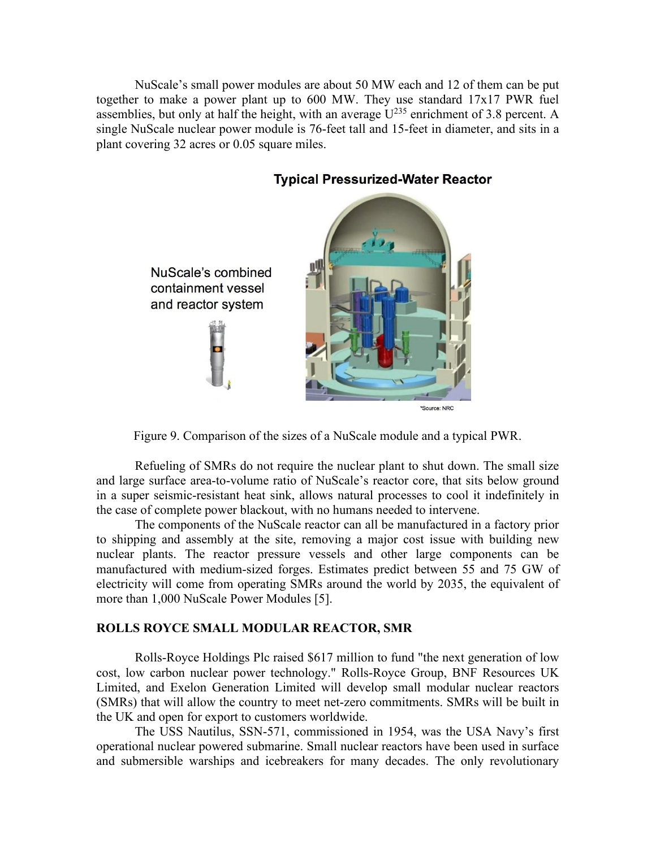NuScale's small power modules are about 50 MW each and 12 of them can be put together to make a power plant up to 600 MW. They use standard 17x17 PWR fuel assemblies, but only at half the height, with an average  $U^{235}$  enrichment of 3.8 percent. A single NuScale nuclear power module is 76-feet tall and 15-feet in diameter, and sits in a plant covering 32 acres or 0.05 square miles.



# **Typical Pressurized-Water Reactor**



Refueling of SMRs do not require the nuclear plant to shut down. The small size and large surface area-to-volume ratio of NuScale's reactor core, that sits below ground in a super seismic-resistant heat sink, allows natural processes to cool it indefinitely in the case of complete power blackout, with no humans needed to intervene.

The components of the NuScale reactor can all be manufactured in a factory prior to shipping and assembly at the site, removing a major cost issue with building new nuclear plants. The reactor pressure vessels and other large components can be manufactured with medium-sized forges. Estimates predict between 55 and 75 GW of electricity will come from operating SMRs around the world by 2035, the equivalent of more than 1,000 NuScale Power Modules [5].

### **ROLLS ROYCE SMALL MODULAR REACTOR, SMR**

Rolls-Royce Holdings Plc raised \$617 million to fund "the next generation of low cost, low carbon nuclear power technology." Rolls-Royce Group, BNF Resources UK Limited, and Exelon Generation Limited will develop small modular nuclear reactors (SMRs) that will allow the country to meet net-zero commitments. SMRs will be built in the UK and open for export to customers worldwide.

The USS Nautilus, SSN-571, commissioned in 1954, was the USA Navy's first operational nuclear powered submarine. Small nuclear reactors have been used in surface and submersible warships and icebreakers for many decades. The only revolutionary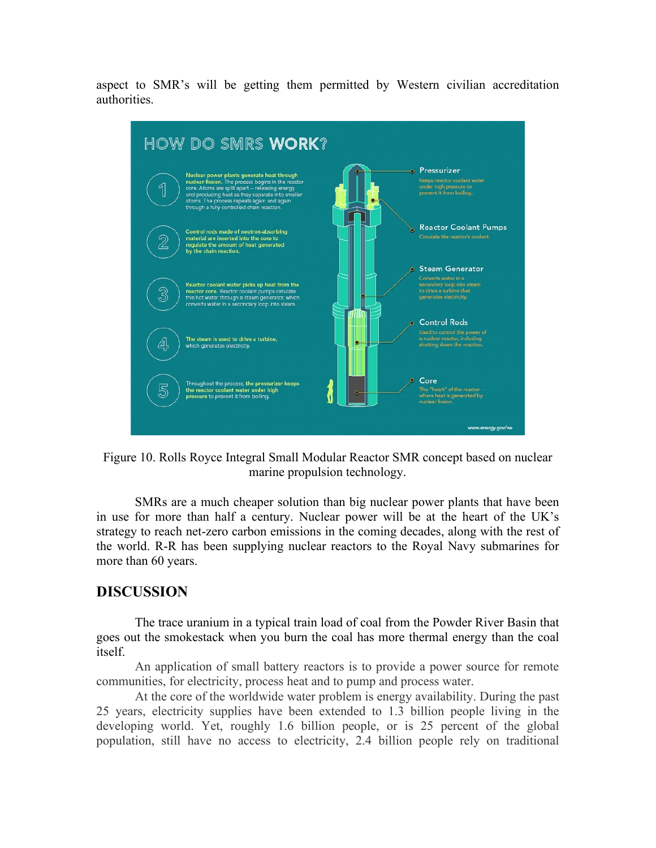aspect to SMR's will be getting them permitted by Western civilian accreditation authorities.



Figure 10. Rolls Royce Integral Small Modular Reactor SMR concept based on nuclear marine propulsion technology.

SMRs are a much cheaper solution than big nuclear power plants that have been in use for more than half a century. Nuclear power will be at the heart of the UK's strategy to reach net-zero carbon emissions in the coming decades, along with the rest of the world. R-R has been supplying nuclear reactors to the Royal Navy submarines for more than 60 years.

### **DISCUSSION**

The trace uranium in a typical train load of coal from the Powder River Basin that goes out the smokestack when you burn the coal has more thermal energy than the coal itself.

An application of small battery reactors is to provide a power source for remote communities, for electricity, process heat and to pump and process water.

At the core of the worldwide water problem is energy availability. During the past 25 years, electricity supplies have been extended to 1.3 billion people living in the developing world. Yet, roughly 1.6 billion people, or is 25 percent of the global population, still have no access to electricity, 2.4 billion people rely on traditional